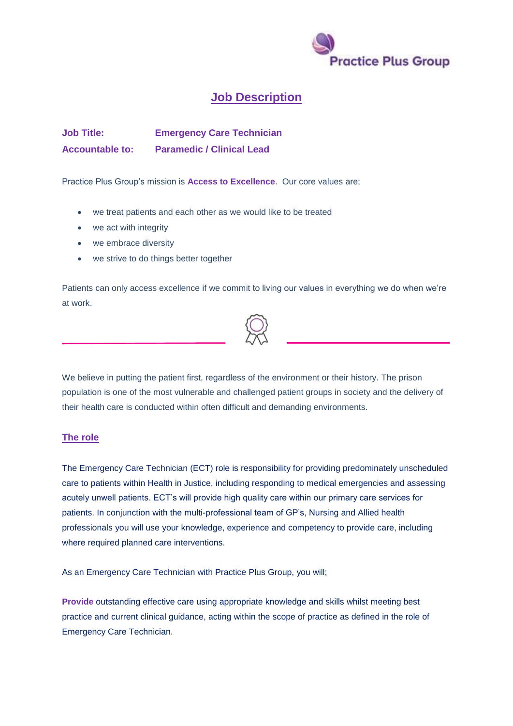

## **Job Description**

**Job Title: Emergency Care Technician Accountable to: Paramedic / Clinical Lead**

Practice Plus Group's mission is **Access to Excellence**. Our core values are;

- we treat patients and each other as we would like to be treated
- we act with integrity
- we embrace diversity
- we strive to do things better together

Patients can only access excellence if we commit to living our values in everything we do when we're at work.



We believe in putting the patient first, regardless of the environment or their history. The prison population is one of the most vulnerable and challenged patient groups in society and the delivery of their health care is conducted within often difficult and demanding environments.

## **The role**

The Emergency Care Technician (ECT) role is responsibility for providing predominately unscheduled care to patients within Health in Justice, including responding to medical emergencies and assessing acutely unwell patients. ECT's will provide high quality care within our primary care services for patients. In conjunction with the multi-professional team of GP's, Nursing and Allied health professionals you will use your knowledge, experience and competency to provide care, including where required planned care interventions.

As an Emergency Care Technician with Practice Plus Group, you will;

**Provide** outstanding effective care using appropriate knowledge and skills whilst meeting best practice and current clinical guidance, acting within the scope of practice as defined in the role of Emergency Care Technician.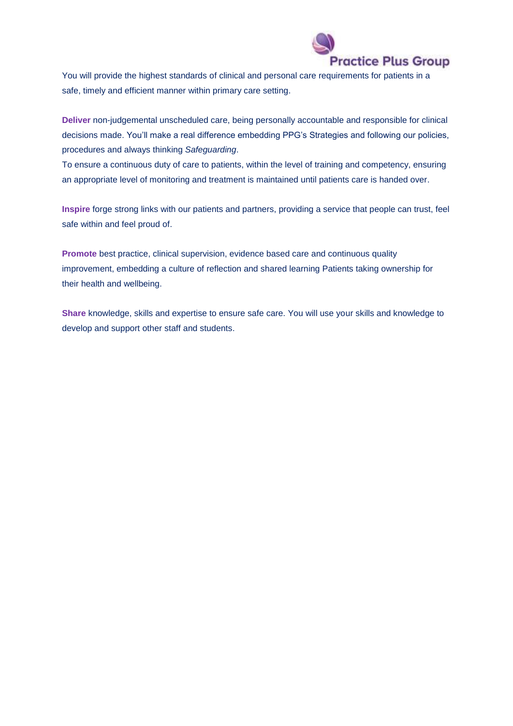

You will provide the highest standards of clinical and personal care requirements for patients in a safe, timely and efficient manner within primary care setting.

**Deliver** non-judgemental unscheduled care, being personally accountable and responsible for clinical decisions made. You'll make a real difference embedding PPG's Strategies and following our policies, procedures and always thinking *Safeguarding*.

To ensure a continuous duty of care to patients, within the level of training and competency, ensuring an appropriate level of monitoring and treatment is maintained until patients care is handed over.

**Inspire** forge strong links with our patients and partners, providing a service that people can trust, feel safe within and feel proud of.

**Promote** best practice, clinical supervision, evidence based care and continuous quality improvement, embedding a culture of reflection and shared learning Patients taking ownership for their health and wellbeing.

**Share** knowledge, skills and expertise to ensure safe care. You will use your skills and knowledge to develop and support other staff and students.